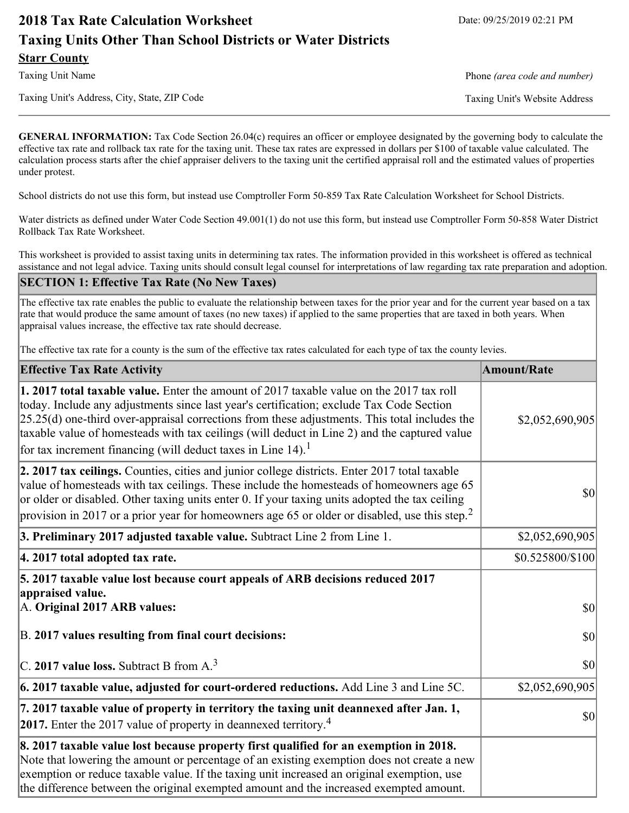# **2018 Tax Rate Calculation Worksheet** Date: 09/25/2019 02:21 PM **Taxing Units Other Than School Districts or Water Districts Starr County**

Taxing Unit's Address, City, State, ZIP Code Taxing Unit's Website Address

Taxing Unit Name **Phone** *(area code and number)* Phone *(area code and number)* 

**GENERAL INFORMATION:** Tax Code Section 26.04(c) requires an officer or employee designated by the governing body to calculate the effective tax rate and rollback tax rate for the taxing unit. These tax rates are expressed in dollars per \$100 of taxable value calculated. The calculation process starts after the chief appraiser delivers to the taxing unit the certified appraisal roll and the estimated values of properties under protest.

School districts do not use this form, but instead use Comptroller Form 50-859 Tax Rate Calculation Worksheet for School Districts.

Water districts as defined under Water Code Section 49.001(1) do not use this form, but instead use Comptroller Form 50-858 Water District Rollback Tax Rate Worksheet.

This worksheet is provided to assist taxing units in determining tax rates. The information provided in this worksheet is offered as technical assistance and not legal advice. Taxing units should consult legal counsel for interpretations of law regarding tax rate preparation and adoption.

#### **SECTION 1: Effective Tax Rate (No New Taxes)**

The effective tax rate enables the public to evaluate the relationship between taxes for the prior year and for the current year based on a tax rate that would produce the same amount of taxes (no new taxes) if applied to the same properties that are taxed in both years. When appraisal values increase, the effective tax rate should decrease.

The effective tax rate for a county is the sum of the effective tax rates calculated for each type of tax the county levies.

| <b>Effective Tax Rate Activity</b>                                                                                                                                                                                                                                                                                                                                                                                                                                      | <b>Amount/Rate</b> |
|-------------------------------------------------------------------------------------------------------------------------------------------------------------------------------------------------------------------------------------------------------------------------------------------------------------------------------------------------------------------------------------------------------------------------------------------------------------------------|--------------------|
| 1. 2017 total taxable value. Enter the amount of 2017 taxable value on the 2017 tax roll<br>today. Include any adjustments since last year's certification; exclude Tax Code Section<br>$[25.25(d)$ one-third over-appraisal corrections from these adjustments. This total includes the<br>taxable value of homesteads with tax ceilings (will deduct in Line 2) and the captured value<br>for tax increment financing (will deduct taxes in Line $14$ ). <sup>1</sup> | \$2,052,690,905    |
| 2. 2017 tax ceilings. Counties, cities and junior college districts. Enter 2017 total taxable<br>value of homesteads with tax ceilings. These include the homesteads of homeowners age 65<br>or older or disabled. Other taxing units enter 0. If your taxing units adopted the tax ceiling<br>provision in 2017 or a prior year for homeowners age 65 or older or disabled, use this step. <sup>2</sup>                                                                | $ 10\rangle$       |
| 3. Preliminary 2017 adjusted taxable value. Subtract Line 2 from Line 1.                                                                                                                                                                                                                                                                                                                                                                                                | \$2,052,690,905    |
| 4. 2017 total adopted tax rate.                                                                                                                                                                                                                                                                                                                                                                                                                                         | \$0.525800/\$100   |
| 5. 2017 taxable value lost because court appeals of ARB decisions reduced 2017<br>appraised value.<br>A. Original 2017 ARB values:                                                                                                                                                                                                                                                                                                                                      | $ 10\rangle$       |
| B. 2017 values resulting from final court decisions:                                                                                                                                                                                                                                                                                                                                                                                                                    | $ 10\rangle$       |
| C. 2017 value loss. Subtract B from $A3$                                                                                                                                                                                                                                                                                                                                                                                                                                | 30                 |
| $\vert$ 6. 2017 taxable value, adjusted for court-ordered reductions. Add Line 3 and Line 5C.                                                                                                                                                                                                                                                                                                                                                                           | \$2,052,690,905    |
| 7. 2017 taxable value of property in territory the taxing unit deannexed after Jan. 1,<br><b>2017.</b> Enter the 2017 value of property in deannexed territory. <sup>4</sup>                                                                                                                                                                                                                                                                                            | $ 10\rangle$       |
| 8. 2017 taxable value lost because property first qualified for an exemption in 2018.<br>Note that lowering the amount or percentage of an existing exemption does not create a new<br>exemption or reduce taxable value. If the taxing unit increased an original exemption, use<br>the difference between the original exempted amount and the increased exempted amount.                                                                                             |                    |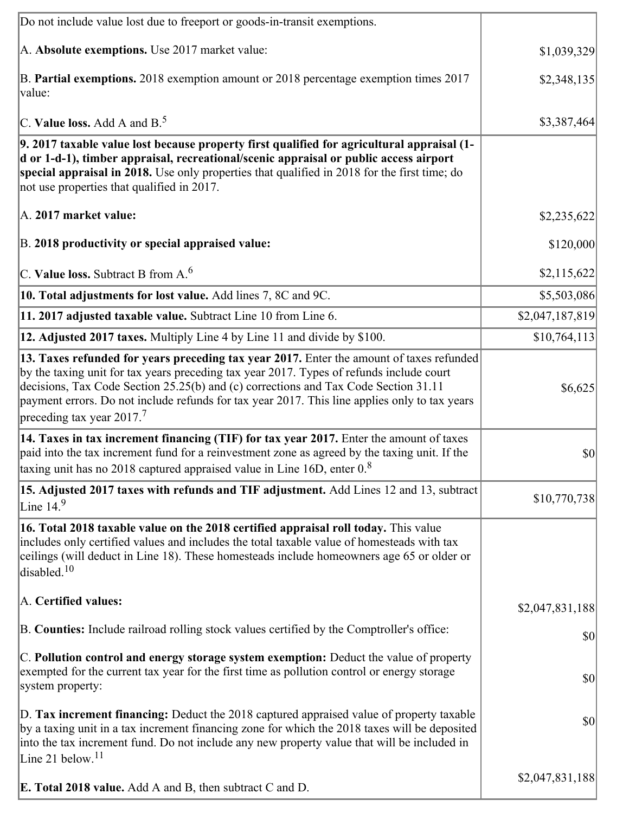| Do not include value lost due to freeport or goods-in-transit exemptions.                                                                                                                                                                                                                                                                                                                                             |                 |
|-----------------------------------------------------------------------------------------------------------------------------------------------------------------------------------------------------------------------------------------------------------------------------------------------------------------------------------------------------------------------------------------------------------------------|-----------------|
| A. Absolute exemptions. Use 2017 market value:                                                                                                                                                                                                                                                                                                                                                                        | \$1,039,329     |
| B. Partial exemptions. 2018 exemption amount or 2018 percentage exemption times 2017<br>value:                                                                                                                                                                                                                                                                                                                        | \$2,348,135     |
| C. Value loss. Add A and $B^5$ .                                                                                                                                                                                                                                                                                                                                                                                      | \$3,387,464     |
| 9. 2017 taxable value lost because property first qualified for agricultural appraisal (1-<br>d or 1-d-1), timber appraisal, recreational/scenic appraisal or public access airport<br>special appraisal in 2018. Use only properties that qualified in 2018 for the first time; do<br>not use properties that qualified in 2017.                                                                                     |                 |
| A. 2017 market value:                                                                                                                                                                                                                                                                                                                                                                                                 | \$2,235,622     |
| B. 2018 productivity or special appraised value:                                                                                                                                                                                                                                                                                                                                                                      | \$120,000       |
| C. Value loss. Subtract B from $A6$                                                                                                                                                                                                                                                                                                                                                                                   | \$2,115,622     |
| 10. Total adjustments for lost value. Add lines 7, 8C and 9C.                                                                                                                                                                                                                                                                                                                                                         | \$5,503,086     |
| 11. 2017 adjusted taxable value. Subtract Line 10 from Line 6.                                                                                                                                                                                                                                                                                                                                                        | \$2,047,187,819 |
| 12. Adjusted 2017 taxes. Multiply Line 4 by Line 11 and divide by \$100.                                                                                                                                                                                                                                                                                                                                              | \$10,764,113    |
| 13. Taxes refunded for years preceding tax year 2017. Enter the amount of taxes refunded<br>by the taxing unit for tax years preceding tax year 2017. Types of refunds include court<br>decisions, Tax Code Section 25.25(b) and (c) corrections and Tax Code Section 31.11<br>payment errors. Do not include refunds for tax year 2017. This line applies only to tax years<br>preceding tax year 2017. <sup>7</sup> | \$6,625         |
| 14. Taxes in tax increment financing (TIF) for tax year 2017. Enter the amount of taxes<br>paid into the tax increment fund for a reinvestment zone as agreed by the taxing unit. If the<br>taxing unit has no 2018 captured appraised value in Line 16D, enter 0.8                                                                                                                                                   | $ 10\rangle$    |
| 15. Adjusted 2017 taxes with refunds and TIF adjustment. Add Lines 12 and 13, subtract<br>Line $14.9$                                                                                                                                                                                                                                                                                                                 | \$10,770,738    |
| 16. Total 2018 taxable value on the 2018 certified appraisal roll today. This value<br>includes only certified values and includes the total taxable value of homesteads with tax<br>ceilings (will deduct in Line 18). These homesteads include homeowners age 65 or older or<br>disabled. <sup>10</sup>                                                                                                             |                 |
| A. Certified values:                                                                                                                                                                                                                                                                                                                                                                                                  | \$2,047,831,188 |
| B. Counties: Include railroad rolling stock values certified by the Comptroller's office:                                                                                                                                                                                                                                                                                                                             | \$0             |
| C. Pollution control and energy storage system exemption: Deduct the value of property<br>exempted for the current tax year for the first time as pollution control or energy storage<br>system property:                                                                                                                                                                                                             | $ 10\rangle$    |
| D. Tax increment financing: Deduct the 2018 captured appraised value of property taxable<br>by a taxing unit in a tax increment financing zone for which the 2018 taxes will be deposited<br>into the tax increment fund. Do not include any new property value that will be included in<br>Line 21 below. $11$                                                                                                       | $ 10\rangle$    |
| <b>E. Total 2018 value.</b> Add A and B, then subtract C and D.                                                                                                                                                                                                                                                                                                                                                       | \$2,047,831,188 |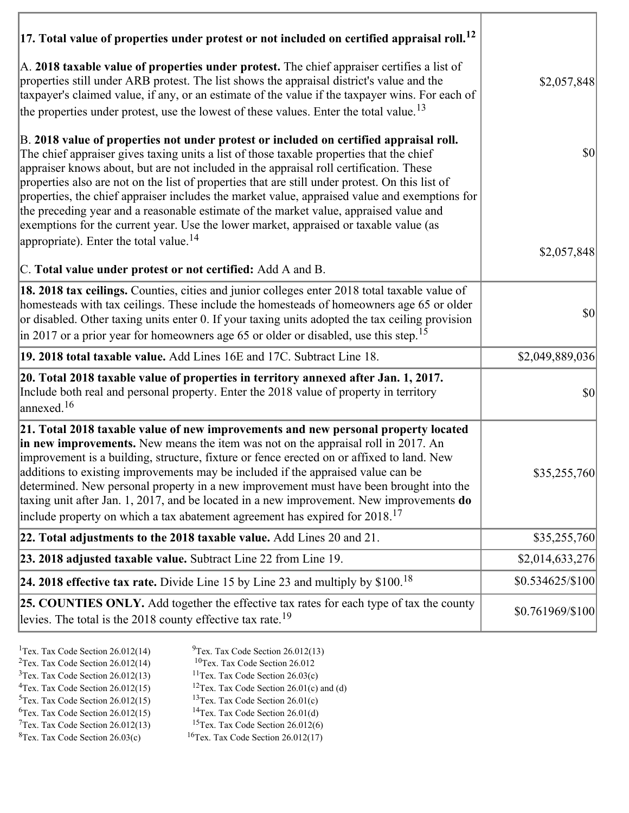| $ 17$ . Total value of properties under protest or not included on certified appraisal roll. <sup>12</sup>                                                                                                                                                                                                                                                                                                                                                                                                                                                                                                                                                                                                               |                                     |
|--------------------------------------------------------------------------------------------------------------------------------------------------------------------------------------------------------------------------------------------------------------------------------------------------------------------------------------------------------------------------------------------------------------------------------------------------------------------------------------------------------------------------------------------------------------------------------------------------------------------------------------------------------------------------------------------------------------------------|-------------------------------------|
| A. 2018 taxable value of properties under protest. The chief appraiser certifies a list of<br>properties still under ARB protest. The list shows the appraisal district's value and the<br>taxpayer's claimed value, if any, or an estimate of the value if the taxpayer wins. For each of<br>the properties under protest, use the lowest of these values. Enter the total value. <sup>13</sup>                                                                                                                                                                                                                                                                                                                         | \$2,057,848                         |
| B. 2018 value of properties not under protest or included on certified appraisal roll.<br>The chief appraiser gives taxing units a list of those taxable properties that the chief<br>appraiser knows about, but are not included in the appraisal roll certification. These<br>properties also are not on the list of properties that are still under protest. On this list of<br>properties, the chief appraiser includes the market value, appraised value and exemptions for<br>the preceding year and a reasonable estimate of the market value, appraised value and<br>exemptions for the current year. Use the lower market, appraised or taxable value (as<br>appropriate). Enter the total value. <sup>14</sup> | $\vert \mathbf{S} \mathbf{0} \vert$ |
| C. Total value under protest or not certified: Add A and B.                                                                                                                                                                                                                                                                                                                                                                                                                                                                                                                                                                                                                                                              | \$2,057,848                         |
| 18. 2018 tax ceilings. Counties, cities and junior colleges enter 2018 total taxable value of<br>homesteads with tax ceilings. These include the homesteads of homeowners age 65 or older<br>or disabled. Other taxing units enter 0. If your taxing units adopted the tax ceiling provision<br>in 2017 or a prior year for homeowners age 65 or older or disabled, use this step. <sup>15</sup>                                                                                                                                                                                                                                                                                                                         | $\vert \mathbf{S} \mathbf{0} \vert$ |
| 19. 2018 total taxable value. Add Lines 16E and 17C. Subtract Line 18.                                                                                                                                                                                                                                                                                                                                                                                                                                                                                                                                                                                                                                                   | \$2,049,889,036                     |
| 20. Total 2018 taxable value of properties in territory annexed after Jan. 1, 2017.<br>Include both real and personal property. Enter the 2018 value of property in territory<br>annexed. <sup>16</sup>                                                                                                                                                                                                                                                                                                                                                                                                                                                                                                                  | $ 10\rangle$                        |
| 21. Total 2018 taxable value of new improvements and new personal property located<br>in new improvements. New means the item was not on the appraisal roll in 2017. An<br>improvement is a building, structure, fixture or fence erected on or affixed to land. New<br>additions to existing improvements may be included if the appraised value can be<br>determined. New personal property in a new improvement must have been brought into the<br>taxing unit after Jan. 1, 2017, and be located in a new improvement. New improvements do<br>include property on which a tax abatement agreement has expired for $2018$ . <sup>17</sup>                                                                             | \$35,255,760                        |
| 22. Total adjustments to the 2018 taxable value. Add Lines 20 and 21.                                                                                                                                                                                                                                                                                                                                                                                                                                                                                                                                                                                                                                                    | \$35,255,760                        |
| 23. 2018 adjusted taxable value. Subtract Line 22 from Line 19.                                                                                                                                                                                                                                                                                                                                                                                                                                                                                                                                                                                                                                                          | \$2,014,633,276                     |
| 24. 2018 effective tax rate. Divide Line 15 by Line 23 and multiply by $$100.18$                                                                                                                                                                                                                                                                                                                                                                                                                                                                                                                                                                                                                                         | \$0.534625/\$100                    |
| 25. COUNTIES ONLY. Add together the effective tax rates for each type of tax the county<br>levies. The total is the 2018 county effective tax rate. <sup>19</sup>                                                                                                                                                                                                                                                                                                                                                                                                                                                                                                                                                        | \$0.761969/\$100                    |

- 
- <sup>1</sup>Tex. Tax Code Section 26.012(14) <sup>9</sup>Tex. Tax Code Section 26.012(13) <sup>9</sup>Tex. Tax Code Section 26.012
- <sup>2</sup>Tex. Tax Code Section 26.012(14) <sup>10</sup>Tex. Tax Code Section 26.012<br><sup>3</sup>Tex. Tax Code Section 26.03(c) <sup>11</sup>Tex. Tax Code Section 26.03(c)
	- <sup>12</sup>Tex. Tax Code Section 26.01(c) and (d) <sup>13</sup>Tex. Tax Code Section 26.01(c)
- ${}^{3}$ Tex. Tax Code Section 26.012(13)<br> ${}^{4}$ Tex. Tax Code Section 26.012(15)
- <sup>5</sup>Tex. Tax Code Section 26.012(15) <sup>13</sup>Tex. Tax Code Section 26.01(c)<br><sup>6</sup>Tex. Tax Code Section 26.012(15) <sup>14</sup>Tex. Tax Code Section 26.01(d)
- <sup>6</sup>Tex. Tax Code Section 26.012(15) <sup>14</sup>Tex. Tax Code Section 26.01(d)<br><sup>7</sup>Tex. Tax Code Section 26.012(13) <sup>15</sup>Tex. Tax Code Section 26.012(6)
	-
- $7$ Tex. Tax Code Section 26.012(13)<br><sup>8</sup>Tex. Tax Code Section 26.03(c)
- $16$ Tex. Tax Code Section 26.012(17)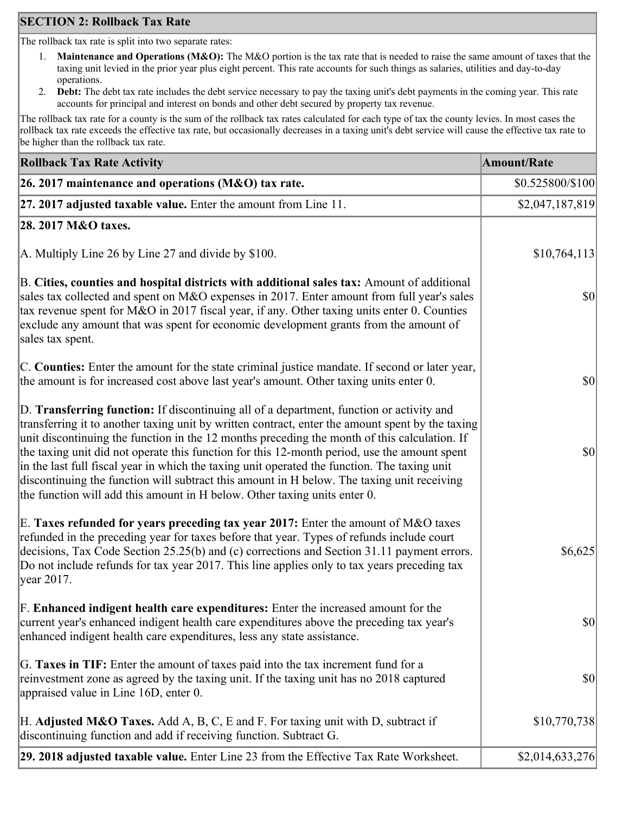## **SECTION 2: Rollback Tax Rate**

The rollback tax rate is split into two separate rates:

- 1. **Maintenance and Operations (M&O):** The M&O portion is the tax rate that is needed to raise the same amount of taxes that the taxing unit levied in the prior year plus eight percent. This rate accounts for such things as salaries, utilities and day-to-day operations.
- 2. **Debt:** The debt tax rate includes the debt service necessary to pay the taxing unit's debt payments in the coming year. This rate accounts for principal and interest on bonds and other debt secured by property tax revenue.

The rollback tax rate for a county is the sum of the rollback tax rates calculated for each type of tax the county levies. In most cases the rollback tax rate exceeds the effective tax rate, but occasionally decreases in a taxing unit's debt service will cause the effective tax rate to be higher than the rollback tax rate.

| <b>Rollback Tax Rate Activity</b>                                                                                                                                                                                                                                                                                                                                                                                                                                                                                                                                                                                                                                       | <b>Amount/Rate</b> |
|-------------------------------------------------------------------------------------------------------------------------------------------------------------------------------------------------------------------------------------------------------------------------------------------------------------------------------------------------------------------------------------------------------------------------------------------------------------------------------------------------------------------------------------------------------------------------------------------------------------------------------------------------------------------------|--------------------|
| 26. 2017 maintenance and operations ( $M&O$ ) tax rate.                                                                                                                                                                                                                                                                                                                                                                                                                                                                                                                                                                                                                 | \$0.525800/\$100   |
| 27. 2017 adjusted taxable value. Enter the amount from Line 11.                                                                                                                                                                                                                                                                                                                                                                                                                                                                                                                                                                                                         | \$2,047,187,819    |
| 28. 2017 M&O taxes.                                                                                                                                                                                                                                                                                                                                                                                                                                                                                                                                                                                                                                                     |                    |
| A. Multiply Line 26 by Line 27 and divide by \$100.                                                                                                                                                                                                                                                                                                                                                                                                                                                                                                                                                                                                                     | \$10,764,113       |
| B. Cities, counties and hospital districts with additional sales tax: Amount of additional<br>sales tax collected and spent on M&O expenses in 2017. Enter amount from full year's sales<br>tax revenue spent for M&O in 2017 fiscal year, if any. Other taxing units enter 0. Counties<br>exclude any amount that was spent for economic development grants from the amount of<br>sales tax spent.                                                                                                                                                                                                                                                                     | $ 10\rangle$       |
| C. Counties: Enter the amount for the state criminal justice mandate. If second or later year,<br>the amount is for increased cost above last year's amount. Other taxing units enter 0.                                                                                                                                                                                                                                                                                                                                                                                                                                                                                | $ 10\rangle$       |
| D. Transferring function: If discontinuing all of a department, function or activity and<br>transferring it to another taxing unit by written contract, enter the amount spent by the taxing<br>unit discontinuing the function in the 12 months preceding the month of this calculation. If<br>the taxing unit did not operate this function for this 12-month period, use the amount spent<br>in the last full fiscal year in which the taxing unit operated the function. The taxing unit<br>discontinuing the function will subtract this amount in H below. The taxing unit receiving<br>the function will add this amount in H below. Other taxing units enter 0. | $ 10\rangle$       |
| E. Taxes refunded for years preceding tax year 2017: Enter the amount of M&O taxes<br>refunded in the preceding year for taxes before that year. Types of refunds include court<br>decisions, Tax Code Section 25.25(b) and (c) corrections and Section 31.11 payment errors.<br>Do not include refunds for tax year 2017. This line applies only to tax years preceding tax<br> year 2017.                                                                                                                                                                                                                                                                             | \$6,625            |
| F. Enhanced indigent health care expenditures: Enter the increased amount for the<br>current year's enhanced indigent health care expenditures above the preceding tax year's<br>enhanced indigent health care expenditures, less any state assistance.                                                                                                                                                                                                                                                                                                                                                                                                                 | $ 10\rangle$       |
| G. Taxes in TIF: Enter the amount of taxes paid into the tax increment fund for a<br>reinvestment zone as agreed by the taxing unit. If the taxing unit has no 2018 captured<br>appraised value in Line 16D, enter 0.                                                                                                                                                                                                                                                                                                                                                                                                                                                   | $ 10\rangle$       |
| H. Adjusted M&O Taxes. Add A, B, C, E and F. For taxing unit with D, subtract if<br>discontinuing function and add if receiving function. Subtract G.                                                                                                                                                                                                                                                                                                                                                                                                                                                                                                                   | \$10,770,738       |
| 29. 2018 adjusted taxable value. Enter Line 23 from the Effective Tax Rate Worksheet.                                                                                                                                                                                                                                                                                                                                                                                                                                                                                                                                                                                   | \$2,014,633,276    |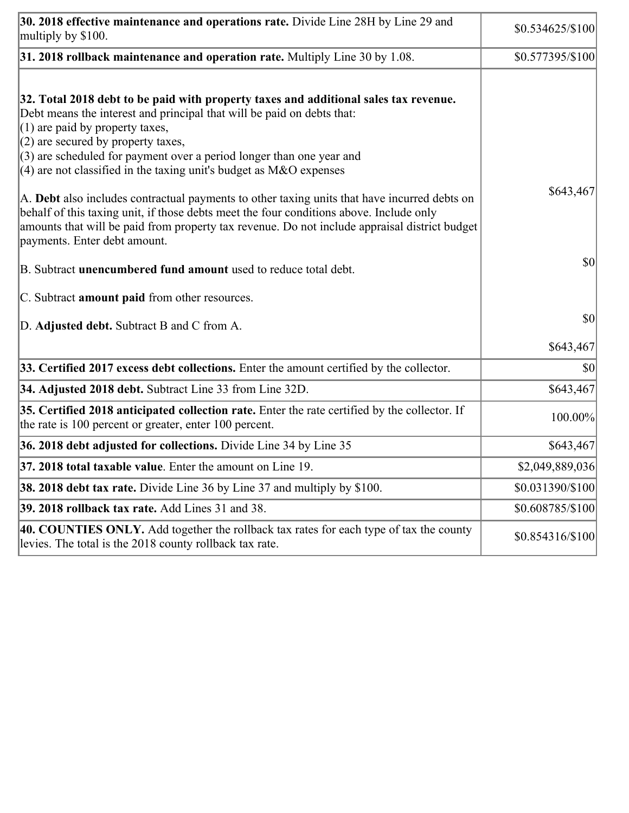| 30. 2018 effective maintenance and operations rate. Divide Line 28H by Line 29 and<br>multiply by \$100.                                                                                                                                                                                                                                                                                      | $$0.534625/\$100$ |
|-----------------------------------------------------------------------------------------------------------------------------------------------------------------------------------------------------------------------------------------------------------------------------------------------------------------------------------------------------------------------------------------------|-------------------|
| $31.2018$ rollback maintenance and operation rate. Multiply Line 30 by 1.08.                                                                                                                                                                                                                                                                                                                  | \$0.577395/\$100  |
| 32. Total 2018 debt to be paid with property taxes and additional sales tax revenue.<br>Debt means the interest and principal that will be paid on debts that:<br>$(1)$ are paid by property taxes,<br>$(2)$ are secured by property taxes,<br>$(3)$ are scheduled for payment over a period longer than one year and<br>$(4)$ are not classified in the taxing unit's budget as M&O expenses |                   |
| A. Debt also includes contractual payments to other taxing units that have incurred debts on<br>behalf of this taxing unit, if those debts meet the four conditions above. Include only<br>amounts that will be paid from property tax revenue. Do not include appraisal district budget<br>payments. Enter debt amount.                                                                      | \$643,467         |
| B. Subtract <b>unencumbered fund amount</b> used to reduce total debt.                                                                                                                                                                                                                                                                                                                        | \$0               |
| C. Subtract <b>amount paid</b> from other resources.                                                                                                                                                                                                                                                                                                                                          |                   |
| D. Adjusted debt. Subtract B and C from A.                                                                                                                                                                                                                                                                                                                                                    | \$0               |
|                                                                                                                                                                                                                                                                                                                                                                                               | \$643,467         |
| 33. Certified 2017 excess debt collections. Enter the amount certified by the collector.                                                                                                                                                                                                                                                                                                      | \$0               |
| 34. Adjusted 2018 debt. Subtract Line 33 from Line 32D.                                                                                                                                                                                                                                                                                                                                       | \$643,467         |
| 35. Certified 2018 anticipated collection rate. Enter the rate certified by the collector. If<br>the rate is 100 percent or greater, enter 100 percent.                                                                                                                                                                                                                                       | 100.00%           |
| 36. 2018 debt adjusted for collections. Divide Line 34 by Line 35                                                                                                                                                                                                                                                                                                                             | \$643,467         |
| <b>37. 2018 total taxable value.</b> Enter the amount on Line 19.                                                                                                                                                                                                                                                                                                                             | \$2,049,889,036   |
| <b>38. 2018 debt tax rate.</b> Divide Line 36 by Line 37 and multiply by \$100.                                                                                                                                                                                                                                                                                                               | \$0.031390/\$100  |
| 39. 2018 rollback tax rate. Add Lines 31 and 38.                                                                                                                                                                                                                                                                                                                                              | \$0.608785/\$100  |
| 40. COUNTIES ONLY. Add together the rollback tax rates for each type of tax the county<br>levies. The total is the 2018 county rollback tax rate.                                                                                                                                                                                                                                             | \$0.854316/\$100  |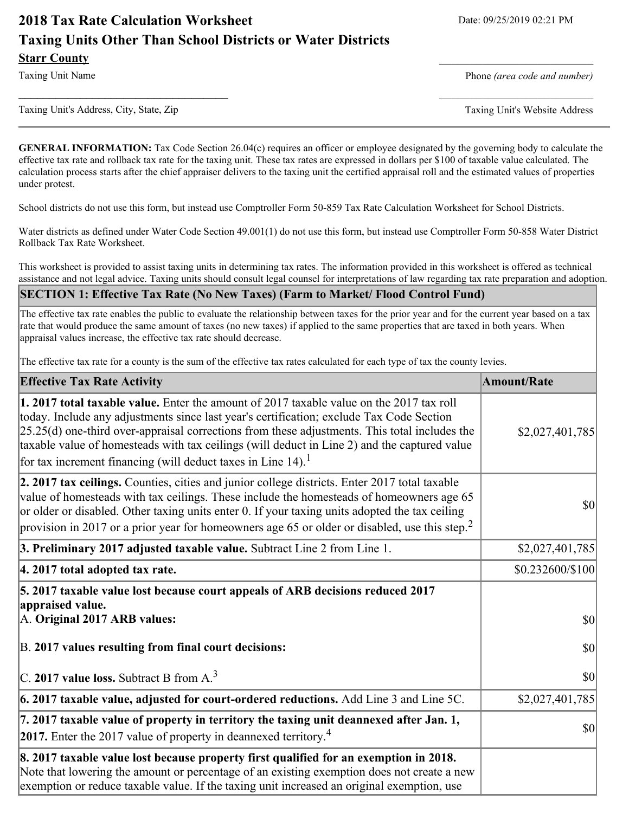# **2018 Tax Rate Calculation Worksheet** Date: 09/25/2019 02:21 PM **Taxing Units Other Than School Districts or Water Districts Starr County**

Taxing Unit Name **Phone** *(area code and number)* Phone *(area code and number)* 

Taxing Unit's Address, City, State, Zip Taxing Unit's Website Address

**GENERAL INFORMATION:** Tax Code Section 26.04(c) requires an officer or employee designated by the governing body to calculate the effective tax rate and rollback tax rate for the taxing unit. These tax rates are expressed in dollars per \$100 of taxable value calculated. The calculation process starts after the chief appraiser delivers to the taxing unit the certified appraisal roll and the estimated values of properties under protest.

**\_\_\_\_\_\_\_\_\_\_\_\_\_\_\_\_\_\_\_\_\_\_\_\_\_\_\_\_\_\_\_\_\_\_** \_\_\_\_\_\_\_\_\_\_\_\_\_\_\_\_\_\_\_\_\_\_\_\_\_

School districts do not use this form, but instead use Comptroller Form 50-859 Tax Rate Calculation Worksheet for School Districts.

Water districts as defined under Water Code Section 49.001(1) do not use this form, but instead use Comptroller Form 50-858 Water District Rollback Tax Rate Worksheet.

This worksheet is provided to assist taxing units in determining tax rates. The information provided in this worksheet is offered as technical assistance and not legal advice. Taxing units should consult legal counsel for interpretations of law regarding tax rate preparation and adoption.

#### **SECTION 1: Effective Tax Rate (No New Taxes) (Farm to Market/ Flood Control Fund)**

The effective tax rate enables the public to evaluate the relationship between taxes for the prior year and for the current year based on a tax rate that would produce the same amount of taxes (no new taxes) if applied to the same properties that are taxed in both years. When appraisal values increase, the effective tax rate should decrease.

The effective tax rate for a county is the sum of the effective tax rates calculated for each type of tax the county levies.

| <b>Effective Tax Rate Activity</b>                                                                                                                                                                                                                                                                                                                                                                                                                                   | <b>Amount/Rate</b> |
|----------------------------------------------------------------------------------------------------------------------------------------------------------------------------------------------------------------------------------------------------------------------------------------------------------------------------------------------------------------------------------------------------------------------------------------------------------------------|--------------------|
| 1. 2017 total taxable value. Enter the amount of 2017 taxable value on the 2017 tax roll<br>today. Include any adjustments since last year's certification; exclude Tax Code Section<br>$[25.25(d)$ one-third over-appraisal corrections from these adjustments. This total includes the<br>taxable value of homesteads with tax ceilings (will deduct in Line 2) and the captured value<br>for tax increment financing (will deduct taxes in Line 14). <sup>1</sup> | \$2,027,401,785    |
| 2. 2017 tax ceilings. Counties, cities and junior college districts. Enter 2017 total taxable<br>value of homesteads with tax ceilings. These include the homesteads of homeowners age 65<br>or older or disabled. Other taxing units enter 0. If your taxing units adopted the tax ceiling<br>provision in 2017 or a prior year for homeowners age 65 or older or disabled, use this step. <sup>2</sup>                                                             | $ 10\rangle$       |
| 3. Preliminary 2017 adjusted taxable value. Subtract Line 2 from Line 1.                                                                                                                                                                                                                                                                                                                                                                                             | \$2,027,401,785    |
| 4. 2017 total adopted tax rate.                                                                                                                                                                                                                                                                                                                                                                                                                                      | \$0.232600/\$100   |
| 5. 2017 taxable value lost because court appeals of ARB decisions reduced 2017<br>appraised value.                                                                                                                                                                                                                                                                                                                                                                   |                    |
| A. Original 2017 ARB values:                                                                                                                                                                                                                                                                                                                                                                                                                                         | $ 10\rangle$       |
| B. 2017 values resulting from final court decisions:                                                                                                                                                                                                                                                                                                                                                                                                                 | $ 10\rangle$       |
| C. 2017 value loss. Subtract B from $A3$                                                                                                                                                                                                                                                                                                                                                                                                                             | 30                 |
| $\vert$ 6. 2017 taxable value, adjusted for court-ordered reductions. Add Line 3 and Line 5C.                                                                                                                                                                                                                                                                                                                                                                        | \$2,027,401,785    |
| 7. 2017 taxable value of property in territory the taxing unit deannexed after Jan. 1,<br><b>2017.</b> Enter the 2017 value of property in deannexed territory. <sup>4</sup>                                                                                                                                                                                                                                                                                         | $ 10\rangle$       |
| 8. 2017 taxable value lost because property first qualified for an exemption in 2018.<br>Note that lowering the amount or percentage of an existing exemption does not create a new<br>exemption or reduce taxable value. If the taxing unit increased an original exemption, use                                                                                                                                                                                    |                    |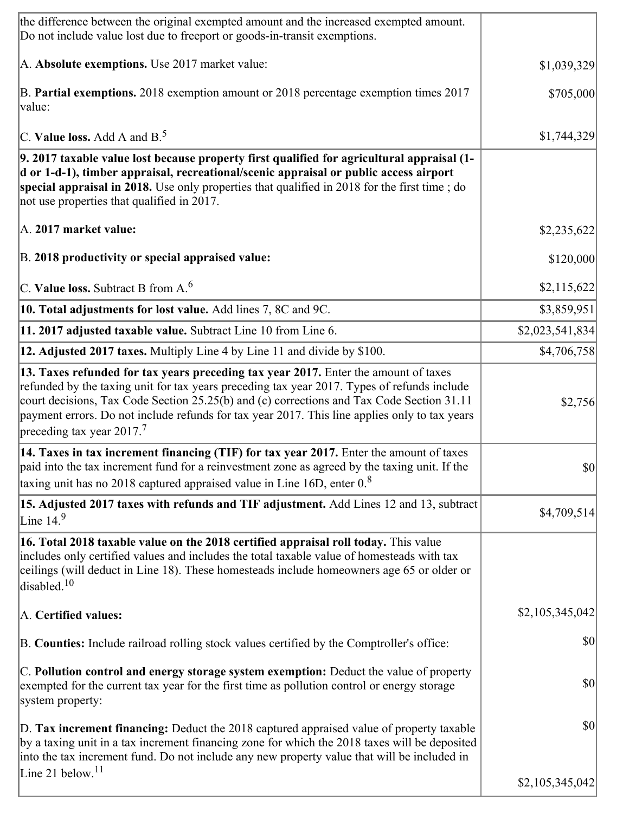| the difference between the original exempted amount and the increased exempted amount.<br>Do not include value lost due to freeport or goods-in-transit exemptions.                                                                                                                                                                                                                                                       |                 |
|---------------------------------------------------------------------------------------------------------------------------------------------------------------------------------------------------------------------------------------------------------------------------------------------------------------------------------------------------------------------------------------------------------------------------|-----------------|
| A. Absolute exemptions. Use 2017 market value:                                                                                                                                                                                                                                                                                                                                                                            | \$1,039,329     |
| B. Partial exemptions. 2018 exemption amount or 2018 percentage exemption times 2017<br>value:                                                                                                                                                                                                                                                                                                                            | \$705,000       |
| C. Value loss. Add A and $B^5$                                                                                                                                                                                                                                                                                                                                                                                            | \$1,744,329     |
| 9. 2017 taxable value lost because property first qualified for agricultural appraisal (1-<br>d or 1-d-1), timber appraisal, recreational/scenic appraisal or public access airport<br>special appraisal in 2018. Use only properties that qualified in 2018 for the first time; do<br>not use properties that qualified in 2017.                                                                                         |                 |
| A. 2017 market value:                                                                                                                                                                                                                                                                                                                                                                                                     | \$2,235,622     |
| B. 2018 productivity or special appraised value:                                                                                                                                                                                                                                                                                                                                                                          | \$120,000       |
| C. Value loss. Subtract B from $A6$                                                                                                                                                                                                                                                                                                                                                                                       | \$2,115,622     |
| 10. Total adjustments for lost value. Add lines 7, 8C and 9C.                                                                                                                                                                                                                                                                                                                                                             | \$3,859,951     |
| 11. 2017 adjusted taxable value. Subtract Line 10 from Line 6.                                                                                                                                                                                                                                                                                                                                                            | \$2,023,541,834 |
| 12. Adjusted 2017 taxes. Multiply Line 4 by Line 11 and divide by \$100.                                                                                                                                                                                                                                                                                                                                                  | \$4,706,758]    |
| 13. Taxes refunded for tax years preceding tax year 2017. Enter the amount of taxes<br>refunded by the taxing unit for tax years preceding tax year 2017. Types of refunds include<br>court decisions, Tax Code Section 25.25(b) and (c) corrections and Tax Code Section 31.11<br>payment errors. Do not include refunds for tax year 2017. This line applies only to tax years<br>preceding tax year 2017. <sup>7</sup> | \$2,756         |
| 14. Taxes in tax increment financing (TIF) for tax year 2017. Enter the amount of taxes<br>paid into the tax increment fund for a reinvestment zone as agreed by the taxing unit. If the<br>taxing unit has no 2018 captured appraised value in Line 16D, enter $0.8$                                                                                                                                                     | $ 10\rangle$    |
| 15. Adjusted 2017 taxes with refunds and TIF adjustment. Add Lines 12 and 13, subtract<br>Line $149$                                                                                                                                                                                                                                                                                                                      | \$4,709,514     |
| 16. Total 2018 taxable value on the 2018 certified appraisal roll today. This value<br>includes only certified values and includes the total taxable value of homesteads with tax<br>ceilings (will deduct in Line 18). These homesteads include homeowners age 65 or older or<br>disabled. $10$                                                                                                                          |                 |
| A. Certified values:                                                                                                                                                                                                                                                                                                                                                                                                      | \$2,105,345,042 |
| B. Counties: Include railroad rolling stock values certified by the Comptroller's office:                                                                                                                                                                                                                                                                                                                                 | $ 10\rangle$    |
| C. Pollution control and energy storage system exemption: Deduct the value of property<br>exempted for the current tax year for the first time as pollution control or energy storage<br>system property:                                                                                                                                                                                                                 | $ 10\rangle$    |
| D. Tax increment financing: Deduct the 2018 captured appraised value of property taxable<br>by a taxing unit in a tax increment financing zone for which the 2018 taxes will be deposited<br>into the tax increment fund. Do not include any new property value that will be included in                                                                                                                                  | $ 10\rangle$    |
| Line 21 below. <sup>11</sup>                                                                                                                                                                                                                                                                                                                                                                                              | \$2,105,345,042 |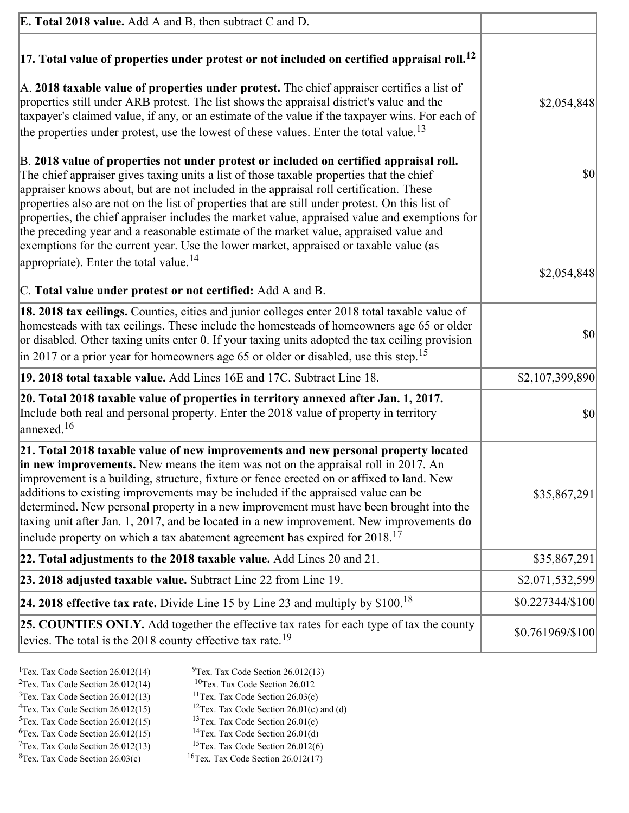| <b>E. Total 2018 value.</b> Add A and B, then subtract C and D.                                                                                                                                                                                                                                                                                                                                                                                                                                                                                                                                                                                                                                                          |                  |
|--------------------------------------------------------------------------------------------------------------------------------------------------------------------------------------------------------------------------------------------------------------------------------------------------------------------------------------------------------------------------------------------------------------------------------------------------------------------------------------------------------------------------------------------------------------------------------------------------------------------------------------------------------------------------------------------------------------------------|------------------|
| $ 17$ . Total value of properties under protest or not included on certified appraisal roll. <sup>12</sup>                                                                                                                                                                                                                                                                                                                                                                                                                                                                                                                                                                                                               |                  |
| A. 2018 taxable value of properties under protest. The chief appraiser certifies a list of<br>properties still under ARB protest. The list shows the appraisal district's value and the<br>taxpayer's claimed value, if any, or an estimate of the value if the taxpayer wins. For each of<br>the properties under protest, use the lowest of these values. Enter the total value. <sup>13</sup>                                                                                                                                                                                                                                                                                                                         | \$2,054,848      |
| B. 2018 value of properties not under protest or included on certified appraisal roll.<br>The chief appraiser gives taxing units a list of those taxable properties that the chief<br>appraiser knows about, but are not included in the appraisal roll certification. These<br>properties also are not on the list of properties that are still under protest. On this list of<br>properties, the chief appraiser includes the market value, appraised value and exemptions for<br>the preceding year and a reasonable estimate of the market value, appraised value and<br>exemptions for the current year. Use the lower market, appraised or taxable value (as<br>appropriate). Enter the total value. <sup>14</sup> | \$0              |
|                                                                                                                                                                                                                                                                                                                                                                                                                                                                                                                                                                                                                                                                                                                          | \$2,054,848      |
| C. Total value under protest or not certified: Add A and B.                                                                                                                                                                                                                                                                                                                                                                                                                                                                                                                                                                                                                                                              |                  |
| 18. 2018 tax ceilings. Counties, cities and junior colleges enter 2018 total taxable value of<br>homesteads with tax ceilings. These include the homesteads of homeowners age 65 or older<br>or disabled. Other taxing units enter 0. If your taxing units adopted the tax ceiling provision<br>$\vert$ in 2017 or a prior year for homeowners age 65 or older or disabled, use this step. <sup>15</sup>                                                                                                                                                                                                                                                                                                                 | 30               |
| 19. 2018 total taxable value. Add Lines 16E and 17C. Subtract Line 18.                                                                                                                                                                                                                                                                                                                                                                                                                                                                                                                                                                                                                                                   | \$2,107,399,890  |
| 20. Total 2018 taxable value of properties in territory annexed after Jan. 1, 2017.<br>Include both real and personal property. Enter the 2018 value of property in territory<br>$\frac{16}{2}$                                                                                                                                                                                                                                                                                                                                                                                                                                                                                                                          | \$0              |
| 21. Total 2018 taxable value of new improvements and new personal property located<br>in new improvements. New means the item was not on the appraisal roll in 2017. An<br>improvement is a building, structure, fixture or fence erected on or affixed to land. New<br>additions to existing improvements may be included if the appraised value can be<br>determined. New personal property in a new improvement must have been brought into the<br>taxing unit after Jan. 1, 2017, and be located in a new improvement. New improvements do<br>include property on which a tax abatement agreement has expired for $2018$ . <sup>17</sup>                                                                             | \$35,867,291     |
| 22. Total adjustments to the 2018 taxable value. Add Lines 20 and 21.                                                                                                                                                                                                                                                                                                                                                                                                                                                                                                                                                                                                                                                    | \$35,867,291     |
| 23. 2018 adjusted taxable value. Subtract Line 22 from Line 19.                                                                                                                                                                                                                                                                                                                                                                                                                                                                                                                                                                                                                                                          | \$2,071,532,599  |
| 24. 2018 effective tax rate. Divide Line 15 by Line 23 and multiply by $$100$ . <sup>18</sup>                                                                                                                                                                                                                                                                                                                                                                                                                                                                                                                                                                                                                            | \$0.227344/\$100 |
| 25. COUNTIES ONLY. Add together the effective tax rates for each type of tax the county<br>levies. The total is the 2018 county effective tax rate. <sup>19</sup>                                                                                                                                                                                                                                                                                                                                                                                                                                                                                                                                                        | \$0.761969/\$100 |
|                                                                                                                                                                                                                                                                                                                                                                                                                                                                                                                                                                                                                                                                                                                          |                  |

- <sup>1</sup>Tex. Tax Code Section 26.012(14) <sup>9</sup>Tex. Tax Code Section 26.012(13) <sup>9</sup>Tex. Tax Code Section 26.012 <sup>2</sup>Tex. Tax Code Section 26.012(14)<br><sup>3</sup>Tex. Tax Code Section 26.012(13)
	-
	-
- <sup>3</sup>Tex. Tax Code Section 26.012(13) <sup>11</sup>Tex. Tax Code Section 26.03(c) <sup>4</sup>Tex. Tax Code Section 26.01(c)
	-
- 
- <sup>6</sup>Tex. Tax Code Section 26.012(15)<br><sup>7</sup>Tex. Tax Code Section 26.012(13)
- 
- 
- <sup>4</sup>Tex. Tax Code Section 26.012(15) <sup>12</sup>Tex. Tax Code Section 26.01(c) and (d)<br><sup>5</sup>Tex. Tax Code Section 26.012(15) <sup>13</sup>Tex. Tax Code Section 26.01(c)
	- <sup>13</sup>Tex. Tax Code Section 26.01(c) <sup>14</sup>Tex. Tax Code Section 26.01(d)
	-
- <sup>7</sup>Tex. Tax Code Section 26.012(13) <sup>15</sup>Tex. Tax Code Section 26.012(6)<br><sup>8</sup>Tex. Tax Code Section 26.03(c) <sup>16</sup>Tex. Tax Code Section 26.012(17)
	- $16$ Tex. Tax Code Section 26.012(17)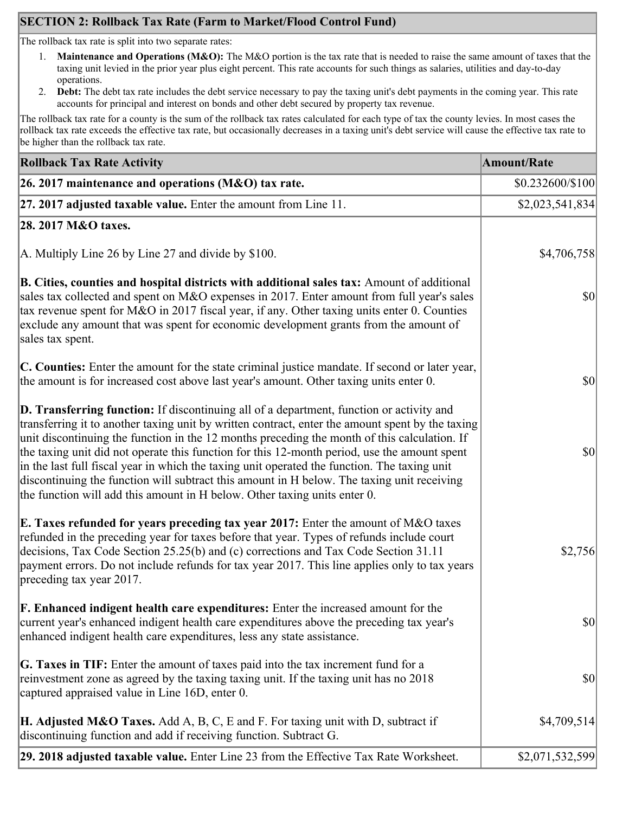# **SECTION 2: Rollback Tax Rate (Farm to Market/Flood Control Fund)**

The rollback tax rate is split into two separate rates:

- 1. **Maintenance and Operations (M&O):** The M&O portion is the tax rate that is needed to raise the same amount of taxes that the taxing unit levied in the prior year plus eight percent. This rate accounts for such things as salaries, utilities and day-to-day operations.
- 2. **Debt:** The debt tax rate includes the debt service necessary to pay the taxing unit's debt payments in the coming year. This rate accounts for principal and interest on bonds and other debt secured by property tax revenue.

The rollback tax rate for a county is the sum of the rollback tax rates calculated for each type of tax the county levies. In most cases the rollback tax rate exceeds the effective tax rate, but occasionally decreases in a taxing unit's debt service will cause the effective tax rate to be higher than the rollback tax rate.

| <b>Rollback Tax Rate Activity</b>                                                                                                                                                                                                                                                                                                                                                                                                                                                                                                                                                                                                                                              | <b>Amount/Rate</b>                  |
|--------------------------------------------------------------------------------------------------------------------------------------------------------------------------------------------------------------------------------------------------------------------------------------------------------------------------------------------------------------------------------------------------------------------------------------------------------------------------------------------------------------------------------------------------------------------------------------------------------------------------------------------------------------------------------|-------------------------------------|
| 26. 2017 maintenance and operations ( $M&O$ ) tax rate.                                                                                                                                                                                                                                                                                                                                                                                                                                                                                                                                                                                                                        | \$0.232600/\$100                    |
| 27. 2017 adjusted taxable value. Enter the amount from Line 11.                                                                                                                                                                                                                                                                                                                                                                                                                                                                                                                                                                                                                | \$2,023,541,834                     |
| 28. 2017 M&O taxes.                                                                                                                                                                                                                                                                                                                                                                                                                                                                                                                                                                                                                                                            |                                     |
| A. Multiply Line 26 by Line 27 and divide by $$100$ .                                                                                                                                                                                                                                                                                                                                                                                                                                                                                                                                                                                                                          | \$4,706,758                         |
| B. Cities, counties and hospital districts with additional sales tax: Amount of additional<br>sales tax collected and spent on M&O expenses in 2017. Enter amount from full year's sales<br>tax revenue spent for M&O in 2017 fiscal year, if any. Other taxing units enter 0. Counties<br>exclude any amount that was spent for economic development grants from the amount of<br>sales tax spent.                                                                                                                                                                                                                                                                            | $\vert \mathbf{S} \mathbf{O} \vert$ |
| C. Counties: Enter the amount for the state criminal justice mandate. If second or later year,<br>the amount is for increased cost above last year's amount. Other taxing units enter 0.                                                                                                                                                                                                                                                                                                                                                                                                                                                                                       | $ 10\rangle$                        |
| <b>D. Transferring function:</b> If discontinuing all of a department, function or activity and<br>transferring it to another taxing unit by written contract, enter the amount spent by the taxing<br>unit discontinuing the function in the 12 months preceding the month of this calculation. If<br>the taxing unit did not operate this function for this 12-month period, use the amount spent<br>in the last full fiscal year in which the taxing unit operated the function. The taxing unit<br>discontinuing the function will subtract this amount in H below. The taxing unit receiving<br>the function will add this amount in H below. Other taxing units enter 0. | $ 10\rangle$                        |
| E. Taxes refunded for years preceding tax year 2017: Enter the amount of M&O taxes<br>refunded in the preceding year for taxes before that year. Types of refunds include court<br>decisions, Tax Code Section 25.25(b) and (c) corrections and Tax Code Section 31.11<br>payment errors. Do not include refunds for tax year 2017. This line applies only to tax years<br>preceding tax year 2017.                                                                                                                                                                                                                                                                            | \$2,756                             |
| <b>F. Enhanced indigent health care expenditures:</b> Enter the increased amount for the<br>current year's enhanced indigent health care expenditures above the preceding tax year's<br>enhanced indigent health care expenditures, less any state assistance.                                                                                                                                                                                                                                                                                                                                                                                                                 | <b>\$0</b>                          |
| <b>G. Taxes in TIF:</b> Enter the amount of taxes paid into the tax increment fund for a<br>reinvestment zone as agreed by the taxing taxing unit. If the taxing unit has no 2018<br>captured appraised value in Line 16D, enter 0.                                                                                                                                                                                                                                                                                                                                                                                                                                            | $ 10\rangle$                        |
| <b>H. Adjusted M&amp;O Taxes.</b> Add A, B, C, E and F. For taxing unit with D, subtract if<br>discontinuing function and add if receiving function. Subtract G.                                                                                                                                                                                                                                                                                                                                                                                                                                                                                                               | \$4,709,514                         |
| 29. 2018 adjusted taxable value. Enter Line 23 from the Effective Tax Rate Worksheet.                                                                                                                                                                                                                                                                                                                                                                                                                                                                                                                                                                                          | \$2,071,532,599                     |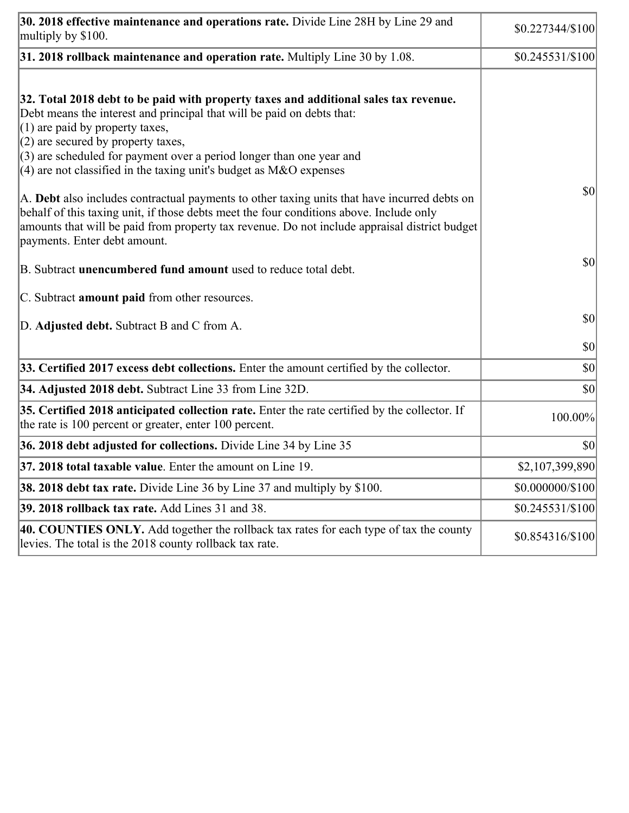| 30. 2018 effective maintenance and operations rate. Divide Line 28H by Line 29 and<br>multiply by \$100.                                                                                                                                                                                                                                                                                      | \$0.227344/\$100  |
|-----------------------------------------------------------------------------------------------------------------------------------------------------------------------------------------------------------------------------------------------------------------------------------------------------------------------------------------------------------------------------------------------|-------------------|
| $31.2018$ rollback maintenance and operation rate. Multiply Line 30 by 1.08.                                                                                                                                                                                                                                                                                                                  | $$0.245531/\$100$ |
| 32. Total 2018 debt to be paid with property taxes and additional sales tax revenue.<br>Debt means the interest and principal that will be paid on debts that:<br>$(1)$ are paid by property taxes,<br>$(2)$ are secured by property taxes,<br>$(3)$ are scheduled for payment over a period longer than one year and<br>$(4)$ are not classified in the taxing unit's budget as M&O expenses |                   |
| A. Debt also includes contractual payments to other taxing units that have incurred debts on<br>behalf of this taxing unit, if those debts meet the four conditions above. Include only<br>amounts that will be paid from property tax revenue. Do not include appraisal district budget<br>payments. Enter debt amount.                                                                      | $ 10\rangle$      |
| B. Subtract <b>unencumbered fund amount</b> used to reduce total debt.                                                                                                                                                                                                                                                                                                                        | $ 10\rangle$      |
| C. Subtract <b>amount paid</b> from other resources.                                                                                                                                                                                                                                                                                                                                          |                   |
| D. Adjusted debt. Subtract B and C from A.                                                                                                                                                                                                                                                                                                                                                    | $ 10\rangle$      |
|                                                                                                                                                                                                                                                                                                                                                                                               | $ 10\rangle$      |
| 33. Certified 2017 excess debt collections. Enter the amount certified by the collector.                                                                                                                                                                                                                                                                                                      | $ 10\rangle$      |
| 34. Adjusted 2018 debt. Subtract Line 33 from Line 32D.                                                                                                                                                                                                                                                                                                                                       | \$0               |
| 35. Certified 2018 anticipated collection rate. Enter the rate certified by the collector. If<br>the rate is 100 percent or greater, enter 100 percent.                                                                                                                                                                                                                                       | 100.00%           |
| 36. 2018 debt adjusted for collections. Divide Line 34 by Line 35                                                                                                                                                                                                                                                                                                                             | $ 10\rangle$      |
| <b>37. 2018 total taxable value.</b> Enter the amount on Line 19.                                                                                                                                                                                                                                                                                                                             | \$2,107,399,890   |
| <b>38. 2018 debt tax rate.</b> Divide Line 36 by Line 37 and multiply by \$100.                                                                                                                                                                                                                                                                                                               | \$0.000000/\$100  |
| 39. 2018 rollback tax rate. Add Lines 31 and 38.                                                                                                                                                                                                                                                                                                                                              | $$0.245531/\$100$ |
| 40. COUNTIES ONLY. Add together the rollback tax rates for each type of tax the county<br>levies. The total is the 2018 county rollback tax rate.                                                                                                                                                                                                                                             | \$0.854316/\$100  |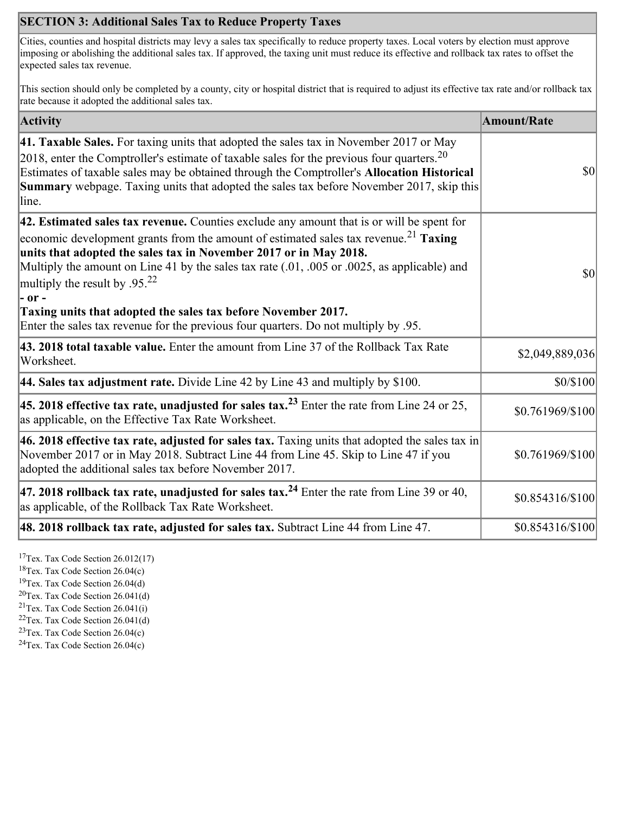## **SECTION 3: Additional Sales Tax to Reduce Property Taxes**

Cities, counties and hospital districts may levy a sales tax specifically to reduce property taxes. Local voters by election must approve imposing or abolishing the additional sales tax. If approved, the taxing unit must reduce its effective and rollback tax rates to offset the expected sales tax revenue.

This section should only be completed by a county, city or hospital district that is required to adjust its effective tax rate and/or rollback tax rate because it adopted the additional sales tax.

| <b>Activity</b>                                                                                                                                                                                                                                                                                                                                                                                                                                                                                                                                                                    | <b>Amount/Rate</b> |
|------------------------------------------------------------------------------------------------------------------------------------------------------------------------------------------------------------------------------------------------------------------------------------------------------------------------------------------------------------------------------------------------------------------------------------------------------------------------------------------------------------------------------------------------------------------------------------|--------------------|
| 41. Taxable Sales. For taxing units that adopted the sales tax in November 2017 or May<br>[2018, enter the Comptroller's estimate of taxable sales for the previous four quarters. <sup>20</sup><br>Estimates of taxable sales may be obtained through the Comptroller's Allocation Historical<br><b>Summary</b> webpage. Taxing units that adopted the sales tax before November 2017, skip this<br>line.                                                                                                                                                                         | \$0                |
| 42. Estimated sales tax revenue. Counties exclude any amount that is or will be spent for<br>economic development grants from the amount of estimated sales tax revenue. <sup>21</sup> Taxing<br>units that adopted the sales tax in November 2017 or in May 2018.<br>Multiply the amount on Line 41 by the sales tax rate (.01, .005 or .0025, as applicable) and<br>multiply the result by .95. <sup>22</sup><br> - or -<br>Taxing units that adopted the sales tax before November 2017.<br>Enter the sales tax revenue for the previous four quarters. Do not multiply by .95. | \$0                |
| 43. 2018 total taxable value. Enter the amount from Line 37 of the Rollback Tax Rate<br>Worksheet.                                                                                                                                                                                                                                                                                                                                                                                                                                                                                 | \$2,049,889,036    |
| 44. Sales tax adjustment rate. Divide Line 42 by Line 43 and multiply by $$100$ .                                                                                                                                                                                                                                                                                                                                                                                                                                                                                                  | \$0/\$100          |
| 45. 2018 effective tax rate, unadjusted for sales tax. <sup>23</sup> Enter the rate from Line 24 or 25,<br>as applicable, on the Effective Tax Rate Worksheet.                                                                                                                                                                                                                                                                                                                                                                                                                     | \$0.761969/\$100   |
| 46. 2018 effective tax rate, adjusted for sales tax. Taxing units that adopted the sales tax in<br>November 2017 or in May 2018. Subtract Line 44 from Line 45. Skip to Line 47 if you<br>adopted the additional sales tax before November 2017.                                                                                                                                                                                                                                                                                                                                   | \$0.761969/\$100   |
| 47. 2018 rollback tax rate, unadjusted for sales tax. <sup>24</sup> Enter the rate from Line 39 or 40,<br>as applicable, of the Rollback Tax Rate Worksheet.                                                                                                                                                                                                                                                                                                                                                                                                                       | \$0.854316/\$100   |
| 48. 2018 rollback tax rate, adjusted for sales tax. Subtract Line 44 from Line 47.                                                                                                                                                                                                                                                                                                                                                                                                                                                                                                 | \$0.854316/\$100   |

<sup>17</sup>Tex. Tax Code Section 26.012(17)

<sup>18</sup>Tex. Tax Code Section 26.04(c)

<sup>19</sup>Tex. Tax Code Section 26.04(d)

 $20$ Tex. Tax Code Section 26.041(d)

<sup>21</sup>Tex. Tax Code Section  $26.041(i)$ 

 $22$ Tex. Tax Code Section 26.041(d)

 $23$ Tex. Tax Code Section 26.04(c)  $24$ Tex. Tax Code Section 26.04(c)